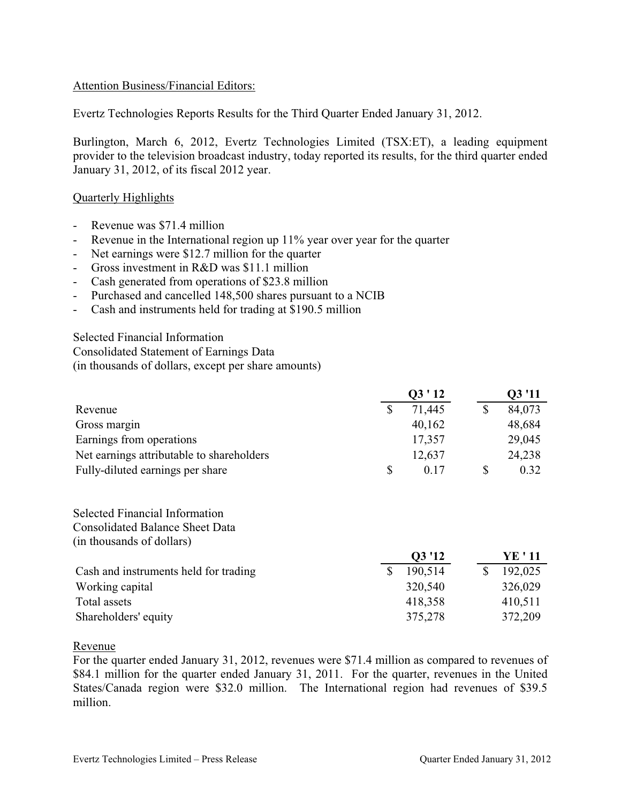## Attention Business/Financial Editors:

Evertz Technologies Reports Results for the Third Quarter Ended January 31, 2012.

Burlington, March 6, 2012, Evertz Technologies Limited (TSX:ET), a leading equipment provider to the television broadcast industry, today reported its results, for the third quarter ended January 31, 2012, of its fiscal 2012 year.

## Quarterly Highlights

- Revenue was \$71.4 million
- Revenue in the International region up 11% year over year for the quarter
- Net earnings were \$12.7 million for the quarter
- Gross investment in R&D was \$11.1 million
- Cash generated from operations of \$23.8 million
- Purchased and cancelled 148,500 shares pursuant to a NCIB
- Cash and instruments held for trading at \$190.5 million

Selected Financial Information Consolidated Statement of Earnings Data

(in thousands of dollars, except per share amounts)

|                                           |    | 03 '11 |        |
|-------------------------------------------|----|--------|--------|
| Revenue                                   |    | 71,445 | 84,073 |
| Gross margin                              |    | 40,162 | 48,684 |
| Earnings from operations                  |    | 17,357 | 29,045 |
| Net earnings attributable to shareholders |    | 12,637 | 24,238 |
| Fully-diluted earnings per share          | S. | 0.17   | 0.32   |

Selected Financial Information Consolidated Balance Sheet Data (in thousands of dollars)

|                                       | Q3 '12  | YE ' 11 |
|---------------------------------------|---------|---------|
| Cash and instruments held for trading | 190,514 | 192,025 |
| Working capital                       | 320,540 | 326,029 |
| Total assets                          | 418,358 | 410,511 |
| Shareholders' equity                  | 375,278 | 372,209 |

Revenue

For the quarter ended January 31, 2012, revenues were \$71.4 million as compared to revenues of \$84.1 million for the quarter ended January 31, 2011. For the quarter, revenues in the United States/Canada region were \$32.0 million. The International region had revenues of \$39.5 million.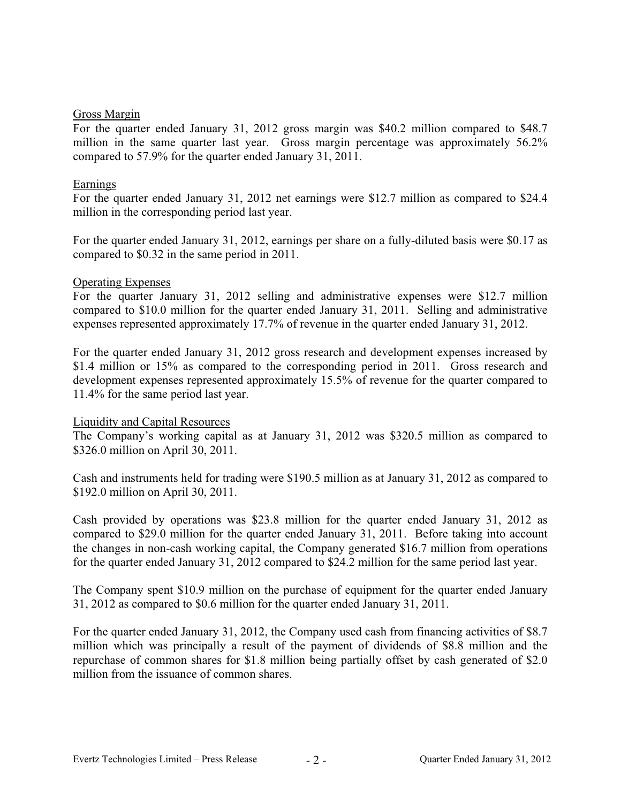#### Gross Margin

For the quarter ended January 31, 2012 gross margin was \$40.2 million compared to \$48.7 million in the same quarter last year. Gross margin percentage was approximately 56.2% compared to 57.9% for the quarter ended January 31, 2011.

## Earnings

For the quarter ended January 31, 2012 net earnings were \$12.7 million as compared to \$24.4 million in the corresponding period last year.

For the quarter ended January 31, 2012, earnings per share on a fully-diluted basis were \$0.17 as compared to \$0.32 in the same period in 2011.

## Operating Expenses

For the quarter January 31, 2012 selling and administrative expenses were \$12.7 million compared to \$10.0 million for the quarter ended January 31, 2011. Selling and administrative expenses represented approximately 17.7% of revenue in the quarter ended January 31, 2012.

For the quarter ended January 31, 2012 gross research and development expenses increased by \$1.4 million or 15% as compared to the corresponding period in 2011. Gross research and development expenses represented approximately 15.5% of revenue for the quarter compared to 11.4% for the same period last year.

#### Liquidity and Capital Resources

The Company's working capital as at January 31, 2012 was \$320.5 million as compared to \$326.0 million on April 30, 2011.

Cash and instruments held for trading were \$190.5 million as at January 31, 2012 as compared to \$192.0 million on April 30, 2011.

Cash provided by operations was \$23.8 million for the quarter ended January 31, 2012 as compared to \$29.0 million for the quarter ended January 31, 2011. Before taking into account the changes in non-cash working capital, the Company generated \$16.7 million from operations for the quarter ended January 31, 2012 compared to \$24.2 million for the same period last year.

The Company spent \$10.9 million on the purchase of equipment for the quarter ended January 31, 2012 as compared to \$0.6 million for the quarter ended January 31, 2011.

For the quarter ended January 31, 2012, the Company used cash from financing activities of \$8.7 million which was principally a result of the payment of dividends of \$8.8 million and the repurchase of common shares for \$1.8 million being partially offset by cash generated of \$2.0 million from the issuance of common shares.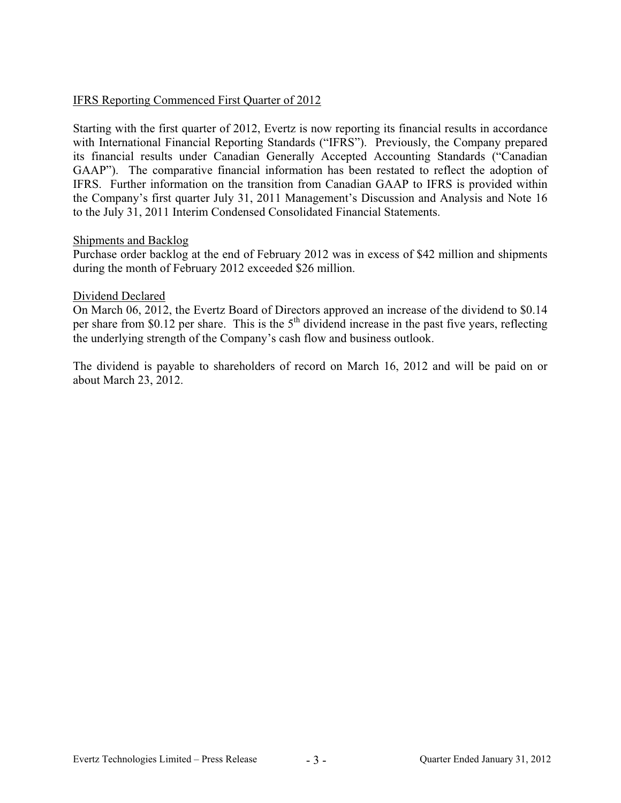## IFRS Reporting Commenced First Quarter of 2012

Starting with the first quarter of 2012, Evertz is now reporting its financial results in accordance with International Financial Reporting Standards ("IFRS"). Previously, the Company prepared its financial results under Canadian Generally Accepted Accounting Standards ("Canadian GAAP"). The comparative financial information has been restated to reflect the adoption of IFRS. Further information on the transition from Canadian GAAP to IFRS is provided within the Company's first quarter July 31, 2011 Management's Discussion and Analysis and Note 16 to the July 31, 2011 Interim Condensed Consolidated Financial Statements.

#### Shipments and Backlog

Purchase order backlog at the end of February 2012 was in excess of \$42 million and shipments during the month of February 2012 exceeded \$26 million.

#### Dividend Declared

On March 06, 2012, the Evertz Board of Directors approved an increase of the dividend to \$0.14 per share from \$0.12 per share. This is the  $5<sup>th</sup>$  dividend increase in the past five years, reflecting the underlying strength of the Company's cash flow and business outlook.

The dividend is payable to shareholders of record on March 16, 2012 and will be paid on or about March 23, 2012.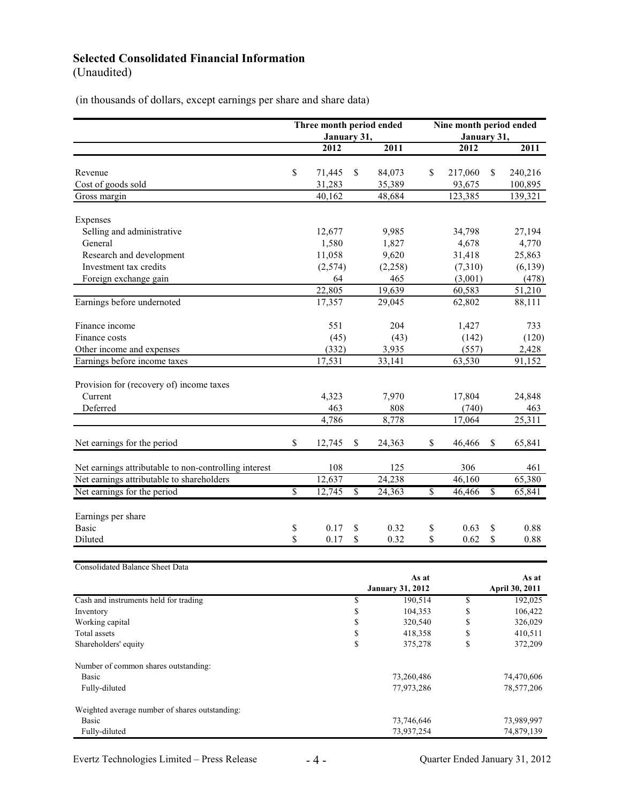# **Selected Consolidated Financial Information**

(Unaudited)

(in thousands of dollars, except earnings per share and share data)

|                                                       |                         | Three month period ended |                          | Nine month period ended |                                  |         |                          |                         |
|-------------------------------------------------------|-------------------------|--------------------------|--------------------------|-------------------------|----------------------------------|---------|--------------------------|-------------------------|
|                                                       |                         | January 31,              |                          |                         | January 31,                      |         |                          |                         |
|                                                       |                         | 2012                     |                          | 2011                    |                                  | 2012    |                          | 2011                    |
|                                                       |                         |                          |                          |                         |                                  |         |                          |                         |
| Revenue                                               | \$                      | 71,445                   | \$                       | 84,073                  | \$                               | 217,060 | \$                       | 240,216                 |
| Cost of goods sold                                    |                         | 31,283                   |                          | 35,389                  |                                  | 93,675  |                          | 100,895                 |
| Gross margin                                          |                         | 40,162                   |                          | 48,684                  |                                  | 123,385 |                          | 139,321                 |
|                                                       |                         |                          |                          |                         |                                  |         |                          |                         |
| Expenses                                              |                         |                          |                          |                         |                                  |         |                          |                         |
| Selling and administrative                            |                         | 12,677                   |                          | 9,985                   |                                  | 34,798  |                          | 27,194                  |
| General                                               |                         | 1,580                    |                          | 1,827                   |                                  | 4,678   |                          | 4,770                   |
| Research and development                              |                         | 11,058                   |                          | 9,620                   |                                  | 31,418  |                          | 25,863                  |
| Investment tax credits                                |                         | (2,574)                  |                          | (2,258)                 |                                  | (7,310) |                          | (6, 139)                |
| Foreign exchange gain                                 |                         | 64                       |                          | 465                     |                                  | (3,001) |                          | (478)                   |
|                                                       |                         | 22,805                   |                          | 19,639                  |                                  | 60,583  |                          | 51,210                  |
| Earnings before undernoted                            |                         | 17,357                   |                          | 29,045                  |                                  | 62,802  |                          | 88,111                  |
| Finance income                                        |                         | 551                      |                          | 204                     |                                  | 1,427   |                          | 733                     |
| Finance costs                                         |                         | (45)                     |                          | (43)                    |                                  | (142)   |                          | (120)                   |
| Other income and expenses                             |                         | (332)                    |                          | 3,935                   |                                  | (557)   |                          | 2,428                   |
| Earnings before income taxes                          |                         | 17,531                   |                          | 33,141                  |                                  | 63,530  |                          | 91,152                  |
|                                                       |                         |                          |                          |                         |                                  |         |                          |                         |
| Provision for (recovery of) income taxes              |                         |                          |                          |                         |                                  |         |                          |                         |
| Current                                               |                         | 4,323                    |                          | 7,970                   |                                  | 17,804  |                          | 24,848                  |
| Deferred                                              |                         | 463                      |                          | 808                     |                                  | (740)   |                          | 463                     |
|                                                       |                         | 4,786                    |                          | 8,778                   |                                  | 17,064  |                          | 25,311                  |
| Net earnings for the period                           | \$                      | 12,745                   | \$                       | 24,363                  | \$                               | 46,466  | \$                       | 65,841                  |
|                                                       |                         |                          |                          |                         |                                  |         |                          |                         |
| Net earnings attributable to non-controlling interest |                         | 108                      |                          | 125                     |                                  | 306     |                          | 461                     |
| Net earnings attributable to shareholders             |                         | 12,637                   |                          | 24,238                  |                                  | 46,160  |                          | 65,380                  |
| Net earnings for the period                           | $\overline{\mathbb{S}}$ | 12,745                   | $\overline{\mathcal{S}}$ | 24,363                  | $\overline{\mathcal{S}}$         | 46,466  | $\overline{\mathcal{S}}$ | 65,841                  |
|                                                       |                         |                          |                          |                         |                                  |         |                          |                         |
| Earnings per share                                    |                         |                          |                          |                         |                                  |         |                          |                         |
| Basic                                                 | \$                      | 0.17                     | \$                       | 0.32                    | \$                               | 0.63    | \$                       | 0.88                    |
| Diluted                                               | \$                      | 0.17                     | \$                       | 0.32                    | \$                               | 0.62    | \$                       | 0.88                    |
|                                                       |                         |                          |                          |                         |                                  |         |                          |                         |
| <b>Consolidated Balance Sheet Data</b>                |                         |                          |                          |                         |                                  |         |                          |                         |
|                                                       |                         |                          |                          |                         | As at<br><b>January 31, 2012</b> |         |                          | As at<br>April 30, 2011 |
| Cash and instruments held for trading                 |                         |                          | \$                       | 190,514                 |                                  | \$      |                          | 192,025                 |
| Inventory                                             |                         |                          | \$                       | 104,353                 |                                  | \$      |                          | 106,422                 |
| Working capital                                       |                         |                          | \$                       | 320,540                 |                                  | \$      |                          | 326,029                 |
| Total assets                                          |                         |                          | $\mathbb{S}$             | 418,358                 |                                  | \$      |                          | 410,511                 |
| Shareholders' equity                                  |                         |                          | \$                       | 375,278                 |                                  | \$      |                          | 372,209                 |
| Number of common shares outstanding:                  |                         |                          |                          |                         |                                  |         |                          |                         |
| Basic                                                 |                         |                          |                          | 73,260,486              |                                  |         |                          | 74,470,606              |
| Fully-diluted                                         |                         |                          |                          | 77,973,286              |                                  |         |                          | 78,577,206              |
| Weighted average number of shares outstanding:        |                         |                          |                          |                         |                                  |         |                          |                         |
| <b>Basic</b>                                          |                         |                          |                          | 73,746,646              |                                  |         |                          | 73,989,997              |
| Fully-diluted                                         |                         |                          |                          | 73,937,254              |                                  |         |                          | 74,879,139              |
|                                                       |                         |                          |                          |                         |                                  |         |                          |                         |